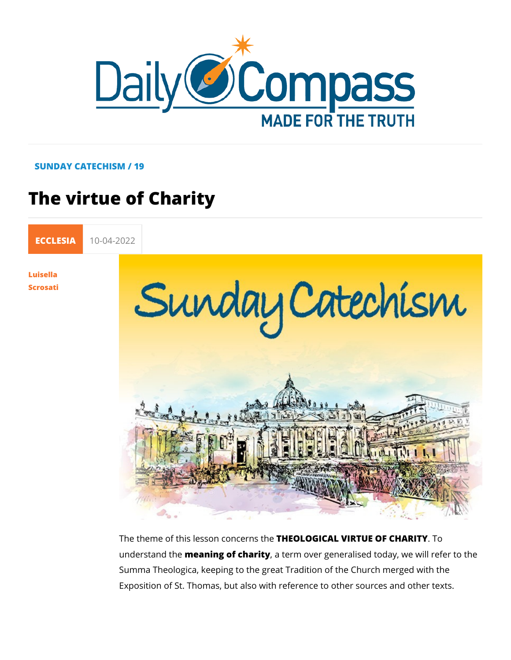#### SUNDAY CATECHISM / 19

# The virtue of Charity

[ECCLE](https://newdailycompass.com/en/ecclesia)S 10-04-2022

[Luisel](/en/luisella-scrosati)la [Scros](/en/luisella-scrosati)ati

> The theme of this lesson **the Cel OS tOAL** VIRTUE OF TO HARITY understand mtehæning of charaity erm over generalised today, we wi Summa Theologica, keeping to the great Tradition of the Churd Exposition of St. Thomas, but also with reference to other sou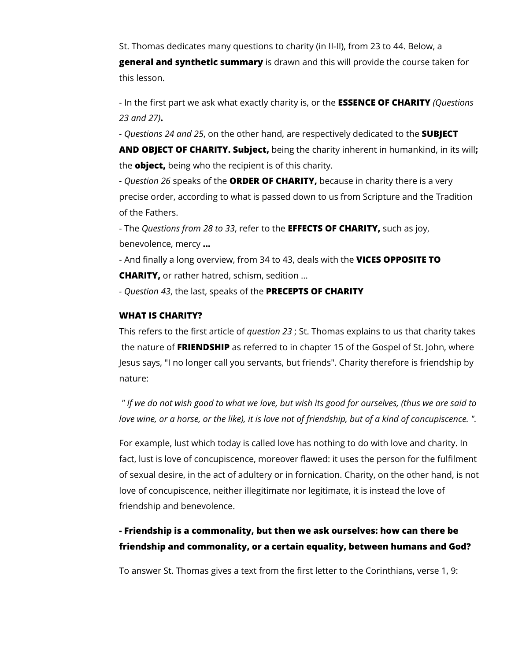St. Thomas dedicates many questions to charity (in II-II), from 23 to 44. Below, a **general and synthetic summary** is drawn and this will provide the course taken for this lesson.

- In the first part we ask what exactly charity is, or the **ESSENCE OF CHARITY** *(Questions 23 and 27)***.**

*- Questions 24 and 25*, on the other hand, are respectively dedicated to the **SUBJECT** 

**AND OBJECT OF CHARITY. Subject,** being the charity inherent in humankind, in its will**;**  the **object,** being who the recipient is of this charity.

*- Question 26* speaks of the **ORDER OF CHARITY,** because in charity there is a very precise order, according to what is passed down to us from Scripture and the Tradition of the Fathers.

- The *Questions from 28 to 33*, refer to the **EFFECTS OF CHARITY,** such as joy, benevolence, mercy **...**

- And finally a long overview, from 34 to 43, deals with the **VICES OPPOSITE TO CHARITY,** or rather hatred, schism, sedition ...

*- Question 43*, the last, speaks of the **PRECEPTS OF CHARITY**

#### **WHAT IS CHARITY?**

This refers to the first article of *question 23* ; St. Thomas explains to us that charity takes the nature of **FRIENDSHIP** as referred to in chapter 15 of the Gospel of St. John, where Jesus says, "I no longer call you servants, but friends". Charity therefore is friendship by nature:

 *" If we do not wish good to what we love, but wish its good for ourselves, (thus we are said to love wine, or a horse, or the like), it is love not of friendship, but of a kind of concupiscence. ".*

For example, lust which today is called love has nothing to do with love and charity. In fact, lust is love of concupiscence, moreover flawed: it uses the person for the fulfilment of sexual desire, in the act of adultery or in fornication. Charity, on the other hand, is not love of concupiscence, neither illegitimate nor legitimate, it is instead the love of friendship and benevolence.

### **- Friendship is a commonality, but then we ask ourselves: how can there be friendship and commonality, or a certain equality, between humans and God?**

To answer St. Thomas gives a text from the first letter to the Corinthians, verse 1, 9: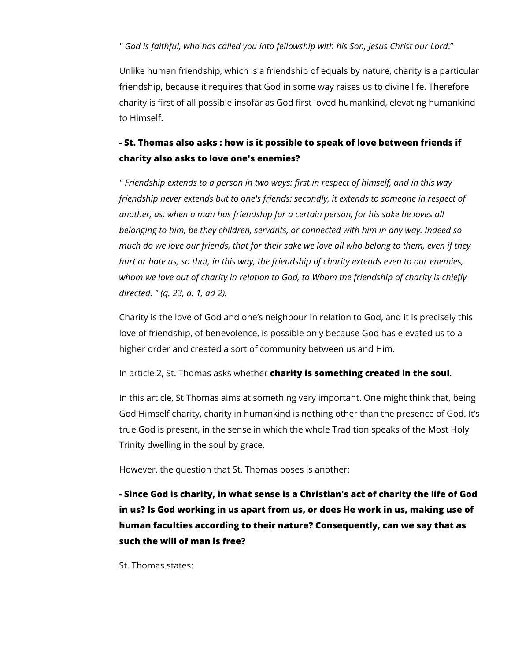#### *" God is faithful, who has called you into fellowship with his Son, Jesus Christ our Lord*."

Unlike human friendship, which is a friendship of equals by nature, charity is a particular friendship, because it requires that God in some way raises us to divine life. Therefore charity is first of all possible insofar as God first loved humankind, elevating humankind to Himself.

## **- St. Thomas also asks : how is it possible to speak of love between friends if charity also asks to love one's enemies?**

*" Friendship extends to a person in two ways: first in respect of himself, and in this way friendship never extends but to one's friends: secondly, it extends to someone in respect of another, as, when a man has friendship for a certain person, for his sake he loves all belonging to him, be they children, servants, or connected with him in any way. Indeed so much do we love our friends, that for their sake we love all who belong to them, even if they hurt or hate us; so that, in this way, the friendship of charity extends even to our enemies, whom we love out of charity in relation to God, to Whom the friendship of charity is chiefly directed. " (q. 23, a. 1, ad 2).*

Charity is the love of God and one's neighbour in relation to God, and it is precisely this love of friendship, of benevolence, is possible only because God has elevated us to a higher order and created a sort of community between us and Him.

In article 2, St. Thomas asks whether **charity is something created in the soul**.

In this article, St Thomas aims at something very important. One might think that, being God Himself charity, charity in humankind is nothing other than the presence of God. It's true God is present, in the sense in which the whole Tradition speaks of the Most Holy Trinity dwelling in the soul by grace.

However, the question that St. Thomas poses is another:

**- Since God is charity, in what sense is a Christian's act of charity the life of God in us? Is God working in us apart from us, or does He work in us, making use of human faculties according to their nature? Consequently, can we say that as such the will of man is free?**

St. Thomas states: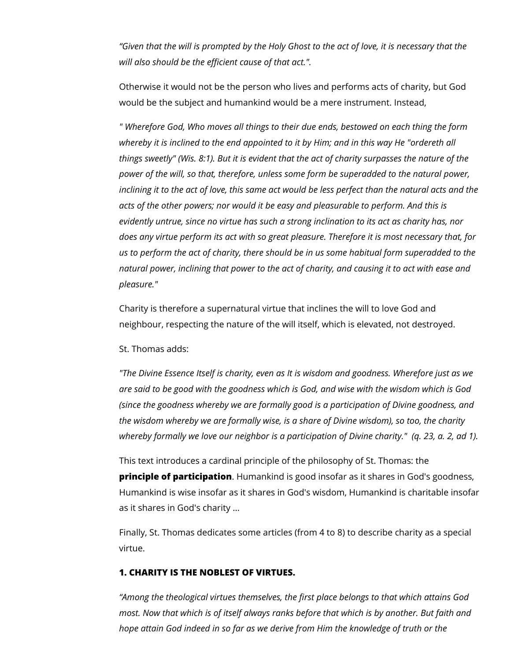*"Given that the will is prompted by the Holy Ghost to the act of love, it is necessary that the will also should be the efficient cause of that act.".*

Otherwise it would not be the person who lives and performs acts of charity, but God would be the subject and humankind would be a mere instrument. Instead,

*" Wherefore God, Who moves all things to their due ends, bestowed on each thing the form*  whereby it is inclined to the end appointed to it by Him; and in this way He "ordereth all *things sweetly" (Wis. 8:1). But it is evident that the act of charity surpasses the nature of the power of the will, so that, therefore, unless some form be superadded to the natural power, inclining it to the act of love, this same act would be less perfect than the natural acts and the* acts of the other powers; nor would it be easy and pleasurable to perform. And this is *evidently untrue, since no virtue has such a strong inclination to its act as charity has, nor does any virtue perform its act with so great pleasure. Therefore it is most necessary that, for us to perform the act of charity, there should be in us some habitual form superadded to the natural power, inclining that power to the act of charity, and causing it to act with ease and pleasure."*

Charity is therefore a supernatural virtue that inclines the will to love God and neighbour, respecting the nature of the will itself, which is elevated, not destroyed.

St. Thomas adds:

*"The Divine Essence Itself is charity, even as It is wisdom and goodness. Wherefore just as we are said to be good with the goodness which is God, and wise with the wisdom which is God (since the goodness whereby we are formally good is a participation of Divine goodness, and the wisdom whereby we are formally wise, is a share of Divine wisdom), so too, the charity whereby formally we love our neighbor is a participation of Divine charity." (q. 23, a. 2, ad 1).*

This text introduces a cardinal principle of the philosophy of St. Thomas: the **principle of participation**. Humankind is good insofar as it shares in God's goodness, Humankind is wise insofar as it shares in God's wisdom, Humankind is charitable insofar as it shares in God's charity ...

Finally, St. Thomas dedicates some articles (from 4 to 8) to describe charity as a special virtue.

#### **1. CHARITY IS THE NOBLEST OF VIRTUES.**

*"Among the theological virtues themselves, the first place belongs to that which attains God most. Now that which is of itself always ranks before that which is by another. But faith and hope attain God indeed in so far as we derive from Him the knowledge of truth or the*